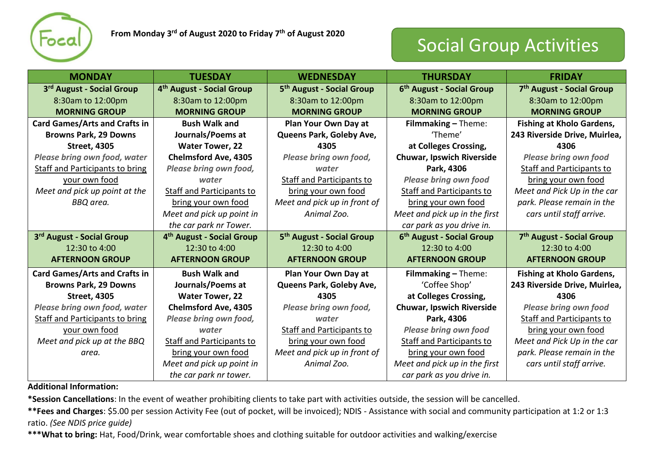

## Social Group Activities

| <b>MONDAY</b>                          | <b>TUESDAY</b>                        | <b>WEDNESDAY</b>                      | <b>THURSDAY</b>                       | <b>FRIDAY</b>                         |
|----------------------------------------|---------------------------------------|---------------------------------------|---------------------------------------|---------------------------------------|
| 3rd August - Social Group              | 4 <sup>th</sup> August - Social Group | 5 <sup>th</sup> August - Social Group | 6 <sup>th</sup> August - Social Group | 7 <sup>th</sup> August - Social Group |
| 8:30am to 12:00pm                      | 8:30am to 12:00pm                     | 8:30am to 12:00pm                     | 8:30am to 12:00pm                     | 8:30am to 12:00pm                     |
| <b>MORNING GROUP</b>                   | <b>MORNING GROUP</b>                  | <b>MORNING GROUP</b>                  | <b>MORNING GROUP</b>                  | <b>MORNING GROUP</b>                  |
| <b>Card Games/Arts and Crafts in</b>   | <b>Bush Walk and</b>                  | Plan Your Own Day at                  | Filmmaking - Theme:                   | <b>Fishing at Kholo Gardens,</b>      |
| <b>Browns Park, 29 Downs</b>           | Journals/Poems at                     | Queens Park, Goleby Ave,              | 'Theme'                               | 243 Riverside Drive, Muirlea,         |
| <b>Street, 4305</b>                    | <b>Water Tower, 22</b>                | 4305                                  | at Colleges Crossing,                 | 4306                                  |
| Please bring own food, water           | <b>Chelmsford Ave, 4305</b>           | Please bring own food,                | <b>Chuwar, Ipswich Riverside</b>      | <b>Please bring own food</b>          |
| <b>Staff and Participants to bring</b> | Please bring own food,                | water                                 | Park, 4306                            | <b>Staff and Participants to</b>      |
| your own food                          | water                                 | <b>Staff and Participants to</b>      | <b>Please bring own food</b>          | bring your own food                   |
| Meet and pick up point at the          | Staff and Participants to             | bring your own food                   | <b>Staff and Participants to</b>      | Meet and Pick Up in the car           |
| BBQ area.                              | bring your own food                   | Meet and pick up in front of          | bring your own food                   | park. Please remain in the            |
|                                        | Meet and pick up point in             | Animal Zoo.                           | Meet and pick up in the first         | cars until staff arrive.              |
|                                        | the car park nr Tower.                |                                       | car park as you drive in.             |                                       |
| 3rd August - Social Group              | 4 <sup>th</sup> August - Social Group | 5 <sup>th</sup> August - Social Group | 6 <sup>th</sup> August - Social Group | 7 <sup>th</sup> August - Social Group |
| 12:30 to 4:00                          | 12:30 to 4:00                         | 12:30 to 4:00                         | 12:30 to 4:00                         | 12:30 to 4:00                         |
| <b>AFTERNOON GROUP</b>                 | <b>AFTERNOON GROUP</b>                | <b>AFTERNOON GROUP</b>                | <b>AFTERNOON GROUP</b>                | <b>AFTERNOON GROUP</b>                |
| <b>Card Games/Arts and Crafts in</b>   | <b>Bush Walk and</b>                  | Plan Your Own Day at                  | Filmmaking - Theme:                   | <b>Fishing at Kholo Gardens,</b>      |
| <b>Browns Park, 29 Downs</b>           | Journals/Poems at                     | Queens Park, Goleby Ave,              | 'Coffee Shop'                         | 243 Riverside Drive, Muirlea,         |
| <b>Street, 4305</b>                    | <b>Water Tower, 22</b>                | 4305                                  | at Colleges Crossing,                 | 4306                                  |
| Please bring own food, water           | <b>Chelmsford Ave, 4305</b>           | Please bring own food,                | <b>Chuwar, Ipswich Riverside</b>      | <b>Please bring own food</b>          |
| <b>Staff and Participants to bring</b> | Please bring own food,                | water                                 | Park, 4306                            | <b>Staff and Participants to</b>      |
| your own food                          | water                                 | <b>Staff and Participants to</b>      | <b>Please bring own food</b>          | bring your own food                   |
| Meet and pick up at the BBQ            | <b>Staff and Participants to</b>      | bring your own food                   | <b>Staff and Participants to</b>      | Meet and Pick Up in the car           |
| area.                                  | bring your own food                   | Meet and pick up in front of          | bring your own food                   | park. Please remain in the            |
|                                        | Meet and pick up point in             | Animal Zoo.                           | Meet and pick up in the first         | cars until staff arrive.              |
|                                        | the car park nr tower.                |                                       | car park as you drive in.             |                                       |

**Additional Information:**

**\*Session Cancellations**: In the event of weather prohibiting clients to take part with activities outside, the session will be cancelled.

**\*\*Fees and Charges**: \$5.00 per session Activity Fee (out of pocket, will be invoiced); NDIS - Assistance with social and community participation at 1:2 or 1:3 ratio. *(See NDIS price guide)*

**\*\*\*What to bring:** Hat, Food/Drink, wear comfortable shoes and clothing suitable for outdoor activities and walking/exercise